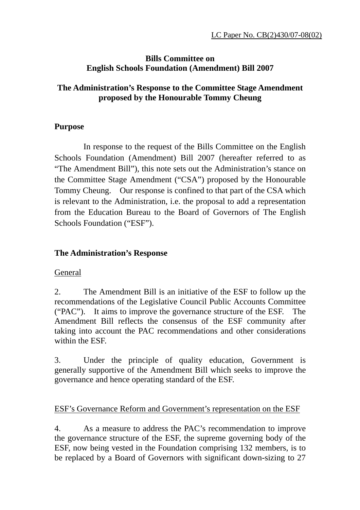### **Bills Committee on English Schools Foundation (Amendment) Bill 2007**

# **The Administration's Response to the Committee Stage Amendment proposed by the Honourable Tommy Cheung**

# **Purpose**

 In response to the request of the Bills Committee on the English Schools Foundation (Amendment) Bill 2007 (hereafter referred to as "The Amendment Bill"), this note sets out the Administration's stance on the Committee Stage Amendment ("CSA") proposed by the Honourable Tommy Cheung. Our response is confined to that part of the CSA which is relevant to the Administration, i.e. the proposal to add a representation from the Education Bureau to the Board of Governors of The English Schools Foundation ("ESF").

# **The Administration's Response**

# General

2.The Amendment Bill is an initiative of the ESF to follow up the recommendations of the Legislative Council Public Accounts Committee ("PAC"). It aims to improve the governance structure of the ESF. The Amendment Bill reflects the consensus of the ESF community after taking into account the PAC recommendations and other considerations within the ESF.

3. Under the principle of quality education, Government is generally supportive of the Amendment Bill which seeks to improve the governance and hence operating standard of the ESF.

# ESF's Governance Reform and Government's representation on the ESF

4. As a measure to address the PAC's recommendation to improve the governance structure of the ESF, the supreme governing body of the ESF, now being vested in the Foundation comprising 132 members, is to be replaced by a Board of Governors with significant down-sizing to 27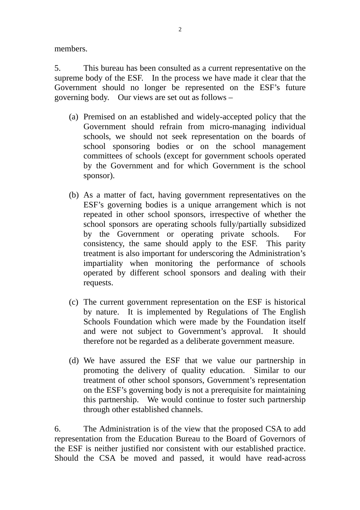members.

5. This bureau has been consulted as a current representative on the supreme body of the ESF. In the process we have made it clear that the Government should no longer be represented on the ESF's future governing body. Our views are set out as follows –

- (a) Premised on an established and widely-accepted policy that the Government should refrain from micro-managing individual schools, we should not seek representation on the boards of school sponsoring bodies or on the school management committees of schools (except for government schools operated by the Government and for which Government is the school sponsor).
- (b) As a matter of fact, having government representatives on the ESF's governing bodies is a unique arrangement which is not repeated in other school sponsors, irrespective of whether the school sponsors are operating schools fully/partially subsidized by the Government or operating private schools. For consistency, the same should apply to the ESF. This parity treatment is also important for underscoring the Administration's impartiality when monitoring the performance of schools operated by different school sponsors and dealing with their requests.
- (c) The current government representation on the ESF is historical by nature. It is implemented by Regulations of The English Schools Foundation which were made by the Foundation itself and were not subject to Government's approval. It should therefore not be regarded as a deliberate government measure.
- (d) We have assured the ESF that we value our partnership in promoting the delivery of quality education. Similar to our treatment of other school sponsors, Government's representation on the ESF's governing body is not a prerequisite for maintaining this partnership. We would continue to foster such partnership through other established channels.

6. The Administration is of the view that the proposed CSA to add representation from the Education Bureau to the Board of Governors of the ESF is neither justified nor consistent with our established practice. Should the CSA be moved and passed, it would have read-across